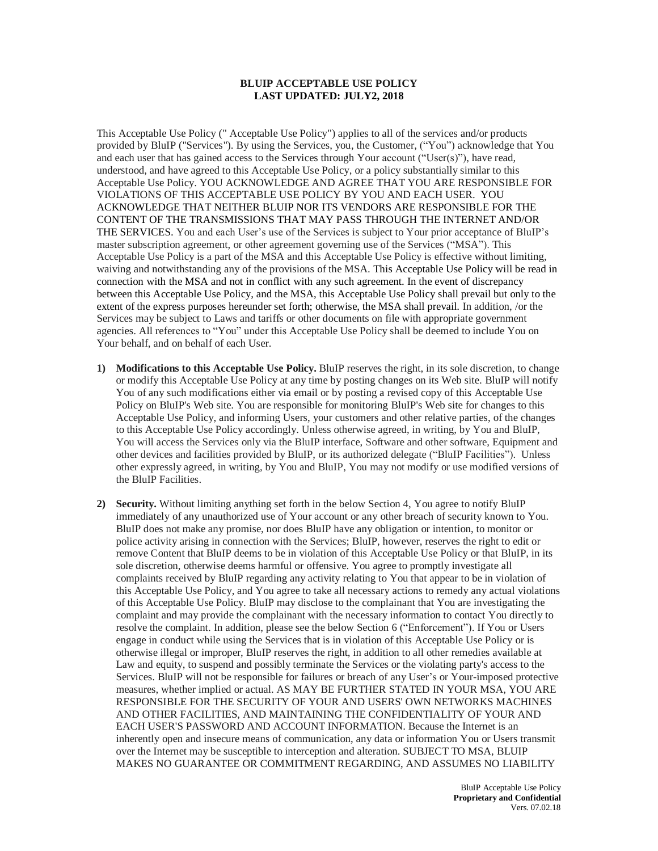## **BLUIP ACCEPTABLE USE POLICY LAST UPDATED: JULY2, 2018**

This Acceptable Use Policy (" Acceptable Use Policy") applies to all of the services and/or products provided by BluIP ("Services"). By using the Services, you, the Customer, ("You") acknowledge that You and each user that has gained access to the Services through Your account ("User(s)"), have read, understood, and have agreed to this Acceptable Use Policy, or a policy substantially similar to this Acceptable Use Policy. YOU ACKNOWLEDGE AND AGREE THAT YOU ARE RESPONSIBLE FOR VIOLATIONS OF THIS ACCEPTABLE USE POLICY BY YOU AND EACH USER. YOU ACKNOWLEDGE THAT NEITHER BLUIP NOR ITS VENDORS ARE RESPONSIBLE FOR THE CONTENT OF THE TRANSMISSIONS THAT MAY PASS THROUGH THE INTERNET AND/OR THE SERVICES. You and each User's use of the Services is subject to Your prior acceptance of BluIP's master subscription agreement, or other agreement governing use of the Services ("MSA"). This Acceptable Use Policy is a part of the MSA and this Acceptable Use Policy is effective without limiting, waiving and notwithstanding any of the provisions of the MSA. This Acceptable Use Policy will be read in connection with the MSA and not in conflict with any such agreement. In the event of discrepancy between this Acceptable Use Policy, and the MSA, this Acceptable Use Policy shall prevail but only to the extent of the express purposes hereunder set forth; otherwise, the MSA shall prevail. In addition, /or the Services may be subject to Laws and tariffs or other documents on file with appropriate government agencies. All references to "You" under this Acceptable Use Policy shall be deemed to include You on Your behalf, and on behalf of each User.

- **1) Modifications to this Acceptable Use Policy.** BluIP reserves the right, in its sole discretion, to change or modify this Acceptable Use Policy at any time by posting changes on its Web site. BluIP will notify You of any such modifications either via email or by posting a revised copy of this Acceptable Use Policy on BluIP's Web site. You are responsible for monitoring BluIP's Web site for changes to this Acceptable Use Policy, and informing Users, your customers and other relative parties, of the changes to this Acceptable Use Policy accordingly. Unless otherwise agreed, in writing, by You and BluIP, You will access the Services only via the BluIP interface, Software and other software, Equipment and other devices and facilities provided by BluIP, or its authorized delegate ("BluIP Facilities"). Unless other expressly agreed, in writing, by You and BluIP, You may not modify or use modified versions of the BluIP Facilities.
- **2) Security.** Without limiting anything set forth in the below Section 4, You agree to notify BluIP immediately of any unauthorized use of Your account or any other breach of security known to You. BluIP does not make any promise, nor does BluIP have any obligation or intention, to monitor or police activity arising in connection with the Services; BluIP, however, reserves the right to edit or remove Content that BluIP deems to be in violation of this Acceptable Use Policy or that BluIP, in its sole discretion, otherwise deems harmful or offensive. You agree to promptly investigate all complaints received by BluIP regarding any activity relating to You that appear to be in violation of this Acceptable Use Policy, and You agree to take all necessary actions to remedy any actual violations of this Acceptable Use Policy. BluIP may disclose to the complainant that You are investigating the complaint and may provide the complainant with the necessary information to contact You directly to resolve the complaint. In addition, please see the below Section 6 ("Enforcement"). If You or Users engage in conduct while using the Services that is in violation of this Acceptable Use Policy or is otherwise illegal or improper, BluIP reserves the right, in addition to all other remedies available at Law and equity, to suspend and possibly terminate the Services or the violating party's access to the Services. BluIP will not be responsible for failures or breach of any User's or Your-imposed protective measures, whether implied or actual. AS MAY BE FURTHER STATED IN YOUR MSA, YOU ARE RESPONSIBLE FOR THE SECURITY OF YOUR AND USERS' OWN NETWORKS MACHINES AND OTHER FACILITIES, AND MAINTAINING THE CONFIDENTIALITY OF YOUR AND EACH USER'S PASSWORD AND ACCOUNT INFORMATION. Because the Internet is an inherently open and insecure means of communication, any data or information You or Users transmit over the Internet may be susceptible to interception and alteration. SUBJECT TO MSA, BLUIP MAKES NO GUARANTEE OR COMMITMENT REGARDING, AND ASSUMES NO LIABILITY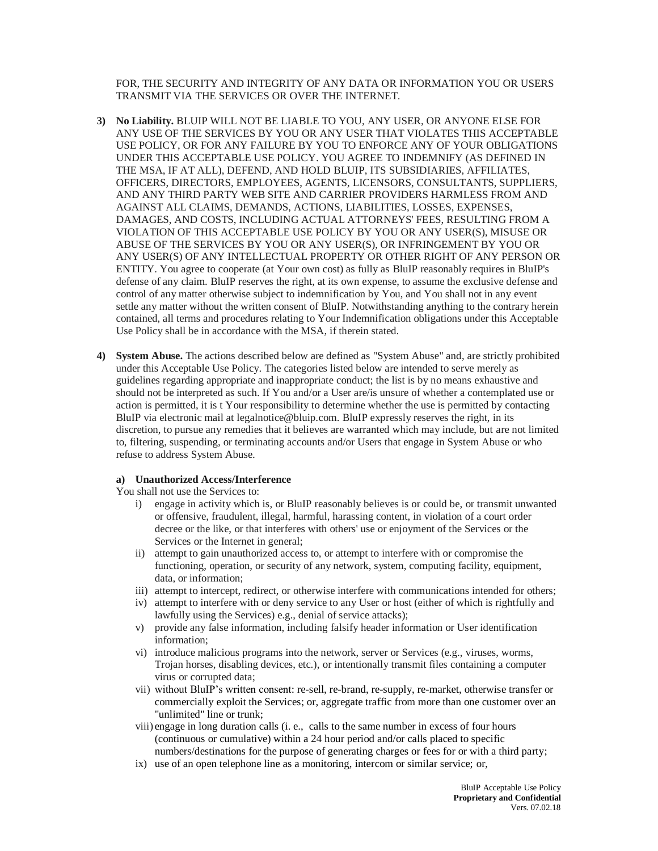FOR, THE SECURITY AND INTEGRITY OF ANY DATA OR INFORMATION YOU OR USERS TRANSMIT VIA THE SERVICES OR OVER THE INTERNET.

- **3) No Liability.** BLUIP WILL NOT BE LIABLE TO YOU, ANY USER, OR ANYONE ELSE FOR ANY USE OF THE SERVICES BY YOU OR ANY USER THAT VIOLATES THIS ACCEPTABLE USE POLICY, OR FOR ANY FAILURE BY YOU TO ENFORCE ANY OF YOUR OBLIGATIONS UNDER THIS ACCEPTABLE USE POLICY. YOU AGREE TO INDEMNIFY (AS DEFINED IN THE MSA, IF AT ALL), DEFEND, AND HOLD BLUIP, ITS SUBSIDIARIES, AFFILIATES, OFFICERS, DIRECTORS, EMPLOYEES, AGENTS, LICENSORS, CONSULTANTS, SUPPLIERS, AND ANY THIRD PARTY WEB SITE AND CARRIER PROVIDERS HARMLESS FROM AND AGAINST ALL CLAIMS, DEMANDS, ACTIONS, LIABILITIES, LOSSES, EXPENSES, DAMAGES, AND COSTS, INCLUDING ACTUAL ATTORNEYS' FEES, RESULTING FROM A VIOLATION OF THIS ACCEPTABLE USE POLICY BY YOU OR ANY USER(S), MISUSE OR ABUSE OF THE SERVICES BY YOU OR ANY USER(S), OR INFRINGEMENT BY YOU OR ANY USER(S) OF ANY INTELLECTUAL PROPERTY OR OTHER RIGHT OF ANY PERSON OR ENTITY. You agree to cooperate (at Your own cost) as fully as BluIP reasonably requires in BluIP's defense of any claim. BluIP reserves the right, at its own expense, to assume the exclusive defense and control of any matter otherwise subject to indemnification by You, and You shall not in any event settle any matter without the written consent of BluIP. Notwithstanding anything to the contrary herein contained, all terms and procedures relating to Your Indemnification obligations under this Acceptable Use Policy shall be in accordance with the MSA, if therein stated.
- **4) System Abuse.** The actions described below are defined as "System Abuse" and, are strictly prohibited under this Acceptable Use Policy. The categories listed below are intended to serve merely as guidelines regarding appropriate and inappropriate conduct; the list is by no means exhaustive and should not be interpreted as such. If You and/or a User are/is unsure of whether a contemplated use or action is permitted, it is t Your responsibility to determine whether the use is permitted by contacting BluIP via electronic mail at legalnotice@bluip.com. BluIP expressly reserves the right, in its discretion, to pursue any remedies that it believes are warranted which may include, but are not limited to, filtering, suspending, or terminating accounts and/or Users that engage in System Abuse or who refuse to address System Abuse.

# **a) Unauthorized Access/Interference**

You shall not use the Services to:

- i) engage in activity which is, or BluIP reasonably believes is or could be, or transmit unwanted or offensive, fraudulent, illegal, harmful, harassing content, in violation of a court order decree or the like, or that interferes with others' use or enjoyment of the Services or the Services or the Internet in general;
- ii) attempt to gain unauthorized access to, or attempt to interfere with or compromise the functioning, operation, or security of any network, system, computing facility, equipment, data, or information;
- iii) attempt to intercept, redirect, or otherwise interfere with communications intended for others;
- iv) attempt to interfere with or deny service to any User or host (either of which is rightfully and lawfully using the Services) e.g., denial of service attacks);
- v) provide any false information, including falsify header information or User identification information;
- vi) introduce malicious programs into the network, server or Services (e.g., viruses, worms, Trojan horses, disabling devices, etc.), or intentionally transmit files containing a computer virus or corrupted data;
- vii) without BluIP's written consent: re-sell, re-brand, re-supply, re-market, otherwise transfer or commercially exploit the Services; or, aggregate traffic from more than one customer over an "unlimited" line or trunk;
- viii) engage in long duration calls (i. e., calls to the same number in excess of four hours (continuous or cumulative) within a 24 hour period and/or calls placed to specific numbers/destinations for the purpose of generating charges or fees for or with a third party;
- ix) use of an open telephone line as a monitoring, intercom or similar service; or,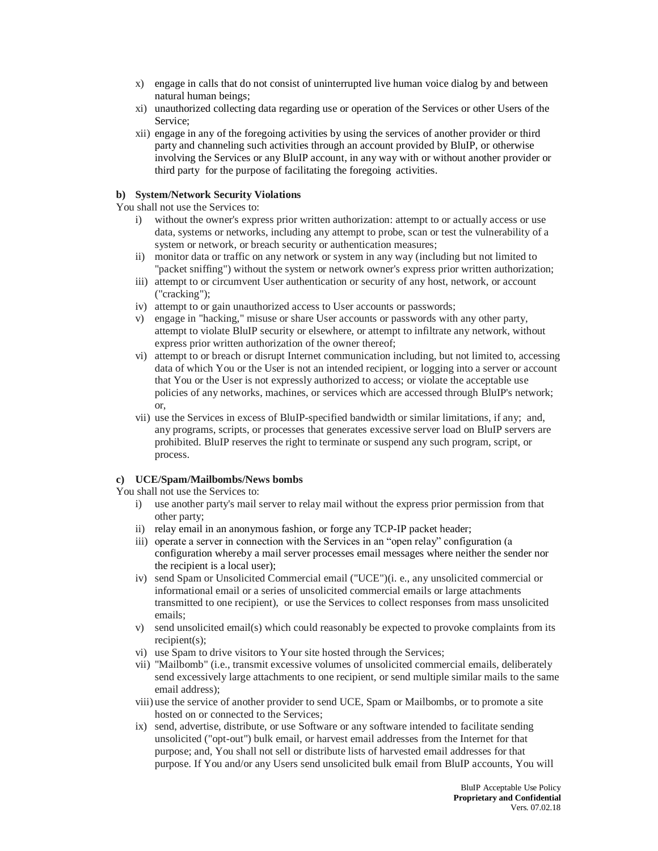- x) engage in calls that do not consist of uninterrupted live human voice dialog by and between natural human beings;
- xi) unauthorized collecting data regarding use or operation of the Services or other Users of the Service;
- xii) engage in any of the foregoing activities by using the services of another provider or third party and channeling such activities through an account provided by BluIP, or otherwise involving the Services or any BluIP account, in any way with or without another provider or third party for the purpose of facilitating the foregoing activities.

## **b) System/Network Security Violations**

You shall not use the Services to:

- i) without the owner's express prior written authorization: attempt to or actually access or use data, systems or networks, including any attempt to probe, scan or test the vulnerability of a system or network, or breach security or authentication measures;
- ii) monitor data or traffic on any network or system in any way (including but not limited to "packet sniffing") without the system or network owner's express prior written authorization;
- iii) attempt to or circumvent User authentication or security of any host, network, or account ("cracking");
- iv) attempt to or gain unauthorized access to User accounts or passwords;
- v) engage in "hacking," misuse or share User accounts or passwords with any other party, attempt to violate BluIP security or elsewhere, or attempt to infiltrate any network, without express prior written authorization of the owner thereof;
- vi) attempt to or breach or disrupt Internet communication including, but not limited to, accessing data of which You or the User is not an intended recipient, or logging into a server or account that You or the User is not expressly authorized to access; or violate the acceptable use policies of any networks, machines, or services which are accessed through BluIP's network; or,
- vii) use the Services in excess of BluIP-specified bandwidth or similar limitations, if any; and, any programs, scripts, or processes that generates excessive server load on BluIP servers are prohibited. BluIP reserves the right to terminate or suspend any such program, script, or process.

# **c) UCE/Spam/Mailbombs/News bombs**

- You shall not use the Services to:
	- i) use another party's mail server to relay mail without the express prior permission from that other party;
	- ii) relay email in an anonymous fashion, or forge any TCP-IP packet header;
	- iii) operate a server in connection with the Services in an "open relay" configuration (a configuration whereby a mail server processes email messages where neither the sender nor the recipient is a local user);
	- iv) send Spam or Unsolicited Commercial email ("UCE")(i. e., any unsolicited commercial or informational email or a series of unsolicited commercial emails or large attachments transmitted to one recipient), or use the Services to collect responses from mass unsolicited emails;
	- v) send unsolicited email(s) which could reasonably be expected to provoke complaints from its recipient(s);
	- vi) use Spam to drive visitors to Your site hosted through the Services;
	- vii) "Mailbomb" (i.e., transmit excessive volumes of unsolicited commercial emails, deliberately send excessively large attachments to one recipient, or send multiple similar mails to the same email address);
	- viii) use the service of another provider to send UCE, Spam or Mailbombs, or to promote a site hosted on or connected to the Services;
	- ix) send, advertise, distribute, or use Software or any software intended to facilitate sending unsolicited ("opt-out") bulk email, or harvest email addresses from the Internet for that purpose; and, You shall not sell or distribute lists of harvested email addresses for that purpose. If You and/or any Users send unsolicited bulk email from BluIP accounts, You will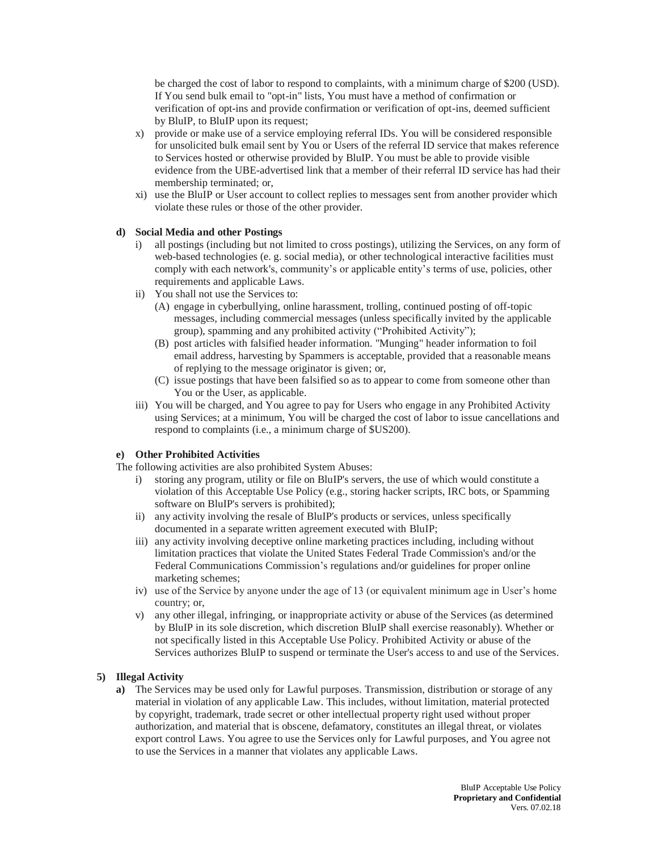be charged the cost of labor to respond to complaints, with a minimum charge of \$200 (USD). If You send bulk email to "opt-in" lists, You must have a method of confirmation or verification of opt-ins and provide confirmation or verification of opt-ins, deemed sufficient by BluIP, to BluIP upon its request;

- x) provide or make use of a service employing referral IDs. You will be considered responsible for unsolicited bulk email sent by You or Users of the referral ID service that makes reference to Services hosted or otherwise provided by BluIP. You must be able to provide visible evidence from the UBE-advertised link that a member of their referral ID service has had their membership terminated; or,
- xi) use the BluIP or User account to collect replies to messages sent from another provider which violate these rules or those of the other provider.

### **d) Social Media and other Postings**

- i) all postings (including but not limited to cross postings), utilizing the Services, on any form of web-based technologies (e. g. social media), or other technological interactive facilities must comply with each network's, community's or applicable entity's terms of use, policies, other requirements and applicable Laws.
- ii) You shall not use the Services to:
	- (A) engage in cyberbullying, online harassment, trolling, continued posting of off-topic messages, including commercial messages (unless specifically invited by the applicable group), spamming and any prohibited activity ("Prohibited Activity");
	- (B) post articles with falsified header information. "Munging" header information to foil email address, harvesting by Spammers is acceptable, provided that a reasonable means of replying to the message originator is given; or,
	- (C) issue postings that have been falsified so as to appear to come from someone other than You or the User, as applicable.
- iii) You will be charged, and You agree to pay for Users who engage in any Prohibited Activity using Services; at a minimum, You will be charged the cost of labor to issue cancellations and respond to complaints (i.e., a minimum charge of \$US200).

### **e) Other Prohibited Activities**

The following activities are also prohibited System Abuses:

- i) storing any program, utility or file on BluIP's servers, the use of which would constitute a violation of this Acceptable Use Policy (e.g., storing hacker scripts, IRC bots, or Spamming software on BluIP's servers is prohibited);
- ii) any activity involving the resale of BluIP's products or services, unless specifically documented in a separate written agreement executed with BluIP;
- iii) any activity involving deceptive online marketing practices including, including without limitation practices that violate the United States Federal Trade Commission's and/or the Federal Communications Commission's regulations and/or guidelines for proper online marketing schemes;
- iv) use of the Service by anyone under the age of 13 (or equivalent minimum age in User's home country; or,
- v) any other illegal, infringing, or inappropriate activity or abuse of the Services (as determined by BluIP in its sole discretion, which discretion BluIP shall exercise reasonably). Whether or not specifically listed in this Acceptable Use Policy. Prohibited Activity or abuse of the Services authorizes BluIP to suspend or terminate the User's access to and use of the Services.

#### **5) Illegal Activity**

**a)** The Services may be used only for Lawful purposes. Transmission, distribution or storage of any material in violation of any applicable Law. This includes, without limitation, material protected by copyright, trademark, trade secret or other intellectual property right used without proper authorization, and material that is obscene, defamatory, constitutes an illegal threat, or violates export control Laws. You agree to use the Services only for Lawful purposes, and You agree not to use the Services in a manner that violates any applicable Laws.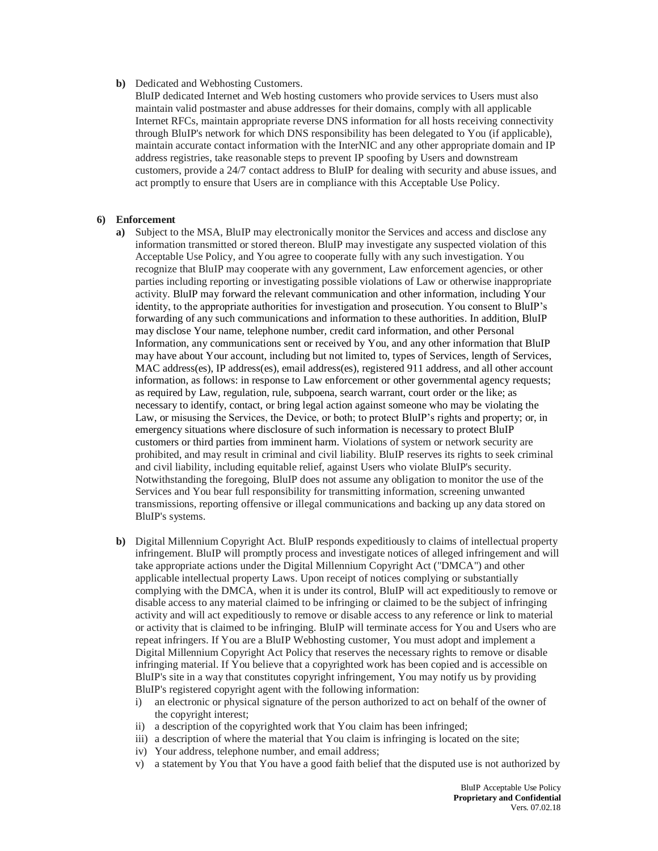#### **b)** Dedicated and Webhosting Customers.

BluIP dedicated Internet and Web hosting customers who provide services to Users must also maintain valid postmaster and abuse addresses for their domains, comply with all applicable Internet RFCs, maintain appropriate reverse DNS information for all hosts receiving connectivity through BluIP's network for which DNS responsibility has been delegated to You (if applicable), maintain accurate contact information with the InterNIC and any other appropriate domain and IP address registries, take reasonable steps to prevent IP spoofing by Users and downstream customers, provide a 24/7 contact address to BluIP for dealing with security and abuse issues, and act promptly to ensure that Users are in compliance with this Acceptable Use Policy.

#### **6) Enforcement**

- **a)** Subject to the MSA, BluIP may electronically monitor the Services and access and disclose any information transmitted or stored thereon. BluIP may investigate any suspected violation of this Acceptable Use Policy, and You agree to cooperate fully with any such investigation. You recognize that BluIP may cooperate with any government, Law enforcement agencies, or other parties including reporting or investigating possible violations of Law or otherwise inappropriate activity. BluIP may forward the relevant communication and other information, including Your identity, to the appropriate authorities for investigation and prosecution. You consent to BluIP's forwarding of any such communications and information to these authorities. In addition, BluIP may disclose Your name, telephone number, credit card information, and other Personal Information, any communications sent or received by You, and any other information that BluIP may have about Your account, including but not limited to, types of Services, length of Services, MAC address(es), IP address(es), email address(es), registered 911 address, and all other account information, as follows: in response to Law enforcement or other governmental agency requests; as required by Law, regulation, rule, subpoena, search warrant, court order or the like; as necessary to identify, contact, or bring legal action against someone who may be violating the Law, or misusing the Services, the Device, or both; to protect BluIP's rights and property; or, in emergency situations where disclosure of such information is necessary to protect BluIP customers or third parties from imminent harm. Violations of system or network security are prohibited, and may result in criminal and civil liability. BluIP reserves its rights to seek criminal and civil liability, including equitable relief, against Users who violate BluIP's security. Notwithstanding the foregoing, BluIP does not assume any obligation to monitor the use of the Services and You bear full responsibility for transmitting information, screening unwanted transmissions, reporting offensive or illegal communications and backing up any data stored on BluIP's systems.
- **b)** Digital Millennium Copyright Act. BluIP responds expeditiously to claims of intellectual property infringement. BluIP will promptly process and investigate notices of alleged infringement and will take appropriate actions under the Digital Millennium Copyright Act ("DMCA") and other applicable intellectual property Laws. Upon receipt of notices complying or substantially complying with the DMCA, when it is under its control, BluIP will act expeditiously to remove or disable access to any material claimed to be infringing or claimed to be the subject of infringing activity and will act expeditiously to remove or disable access to any reference or link to material or activity that is claimed to be infringing. BluIP will terminate access for You and Users who are repeat infringers. If You are a BluIP Webhosting customer, You must adopt and implement a Digital Millennium Copyright Act Policy that reserves the necessary rights to remove or disable infringing material. If You believe that a copyrighted work has been copied and is accessible on BluIP's site in a way that constitutes copyright infringement, You may notify us by providing BluIP's registered copyright agent with the following information:
	- i) an electronic or physical signature of the person authorized to act on behalf of the owner of the copyright interest;
	- ii) a description of the copyrighted work that You claim has been infringed;
	- iii) a description of where the material that You claim is infringing is located on the site;
	- iv) Your address, telephone number, and email address;
	- v) a statement by You that You have a good faith belief that the disputed use is not authorized by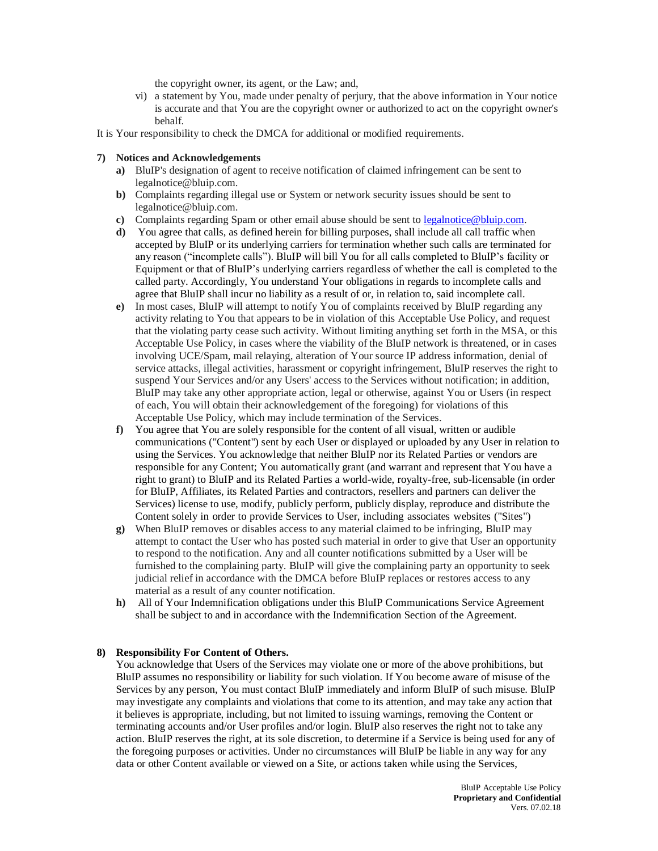the copyright owner, its agent, or the Law; and,

- vi) a statement by You, made under penalty of perjury, that the above information in Your notice is accurate and that You are the copyright owner or authorized to act on the copyright owner's behalf.
- It is Your responsibility to check the DMCA for additional or modified requirements.

#### **7) Notices and Acknowledgements**

- **a)** BluIP's designation of agent to receive notification of claimed infringement can be sent to legalnotice@bluip.com.
- **b)** Complaints regarding illegal use or System or network security issues should be sent to legalnotice@bluip.com.
- **c)** Complaints regarding Spam or other email abuse should be sent to [legalnotice@bluip.com.](mailto:legalnotice@bluip.com)
- **d)** You agree that calls, as defined herein for billing purposes, shall include all call traffic when accepted by BluIP or its underlying carriers for termination whether such calls are terminated for any reason ("incomplete calls"). BluIP will bill You for all calls completed to BluIP's facility or Equipment or that of BluIP's underlying carriers regardless of whether the call is completed to the called party. Accordingly, You understand Your obligations in regards to incomplete calls and agree that BluIP shall incur no liability as a result of or, in relation to, said incomplete call.
- **e)** In most cases, BluIP will attempt to notify You of complaints received by BluIP regarding any activity relating to You that appears to be in violation of this Acceptable Use Policy, and request that the violating party cease such activity. Without limiting anything set forth in the MSA, or this Acceptable Use Policy, in cases where the viability of the BluIP network is threatened, or in cases involving UCE/Spam, mail relaying, alteration of Your source IP address information, denial of service attacks, illegal activities, harassment or copyright infringement, BluIP reserves the right to suspend Your Services and/or any Users' access to the Services without notification; in addition, BluIP may take any other appropriate action, legal or otherwise, against You or Users (in respect of each, You will obtain their acknowledgement of the foregoing) for violations of this Acceptable Use Policy, which may include termination of the Services.
- **f)** You agree that You are solely responsible for the content of all visual, written or audible communications ("Content") sent by each User or displayed or uploaded by any User in relation to using the Services. You acknowledge that neither BluIP nor its Related Parties or vendors are responsible for any Content; You automatically grant (and warrant and represent that You have a right to grant) to BluIP and its Related Parties a world-wide, royalty-free, sub-licensable (in order for BluIP, Affiliates, its Related Parties and contractors, resellers and partners can deliver the Services) license to use, modify, publicly perform, publicly display, reproduce and distribute the Content solely in order to provide Services to User, including associates websites ("Sites")
- **g)** When BluIP removes or disables access to any material claimed to be infringing, BluIP may attempt to contact the User who has posted such material in order to give that User an opportunity to respond to the notification. Any and all counter notifications submitted by a User will be furnished to the complaining party. BluIP will give the complaining party an opportunity to seek judicial relief in accordance with the DMCA before BluIP replaces or restores access to any material as a result of any counter notification.
- **h)** All of Your Indemnification obligations under this BluIP Communications Service Agreement shall be subject to and in accordance with the Indemnification Section of the Agreement.

#### **8) Responsibility For Content of Others.**

You acknowledge that Users of the Services may violate one or more of the above prohibitions, but BluIP assumes no responsibility or liability for such violation. If You become aware of misuse of the Services by any person, You must contact BluIP immediately and inform BluIP of such misuse. BluIP may investigate any complaints and violations that come to its attention, and may take any action that it believes is appropriate, including, but not limited to issuing warnings, removing the Content or terminating accounts and/or User profiles and/or login. BluIP also reserves the right not to take any action. BluIP reserves the right, at its sole discretion, to determine if a Service is being used for any of the foregoing purposes or activities. Under no circumstances will BluIP be liable in any way for any data or other Content available or viewed on a Site, or actions taken while using the Services,